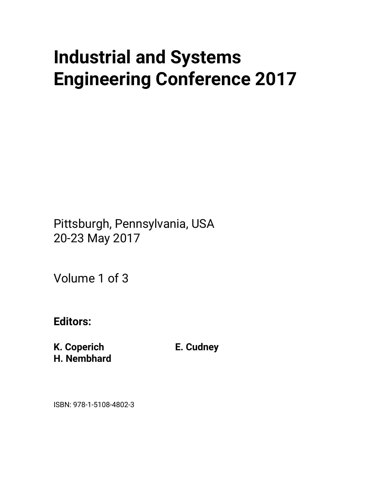# **Industrial and Systems Engineering Conference 2017**

Pittsburgh, Pennsylvania, USA 20-23 May 2017

Volume 1 of 3

**Editors:** 

**K. Coperich H. Nembhard**  **E. Cudney** 

ISBN: 978-1-5108-4802-3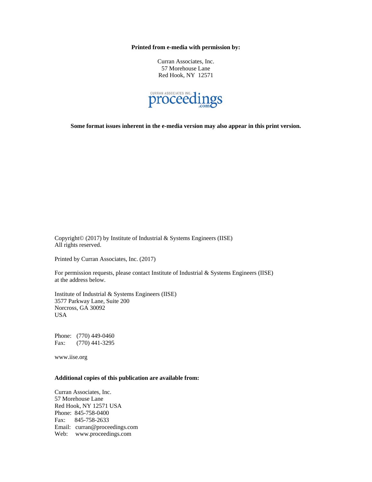**Printed from e-media with permission by:** 

Curran Associates, Inc. 57 Morehouse Lane Red Hook, NY 12571



**Some format issues inherent in the e-media version may also appear in this print version.** 

Copyright© (2017) by Institute of Industrial & Systems Engineers (IISE) All rights reserved.

Printed by Curran Associates, Inc. (2017)

For permission requests, please contact Institute of Industrial & Systems Engineers (IISE) at the address below.

Institute of Industrial & Systems Engineers (IISE) 3577 Parkway Lane, Suite 200 Norcross, GA 30092 USA

Phone: (770) 449-0460 Fax: (770) 441-3295

www.iise.org

#### **Additional copies of this publication are available from:**

Curran Associates, Inc. 57 Morehouse Lane Red Hook, NY 12571 USA Phone: 845-758-0400 Fax: 845-758-2633 Email: curran@proceedings.com Web: www.proceedings.com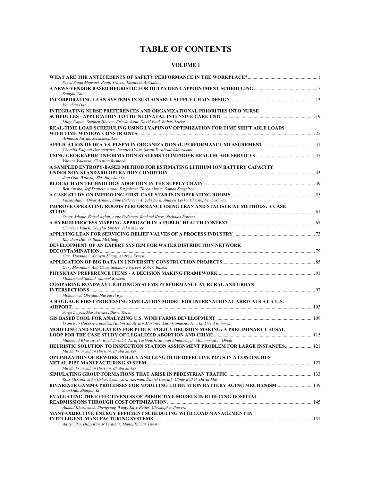## **TABLE OF CONTENTS**

### **VOLUME 1**

| Seyed Sajad Mousavi, Paolo Trucco, Elizabeth A. Cudney                                                                         |  |
|--------------------------------------------------------------------------------------------------------------------------------|--|
| Sangdo Choi                                                                                                                    |  |
| Kanchan Das                                                                                                                    |  |
| INTEGRATING NURSE PREFERENCES AND ORGANIZATIONAL PRIORITIES INTO NURSE                                                         |  |
| Muge Capan, Stephen Hoover, Eric Jackson, David Paul, Robert Locke                                                             |  |
| REAL-TIME LOAD SCHEDULING USING LYAPUNOV OPTIMIZATION FOR TIME SHIFT ABLE LOADS                                                |  |
|                                                                                                                                |  |
| Ashutosh Nayak, Seokcheon Lee                                                                                                  |  |
| Chamila Kalpani Dissanayake, Jennifer Cross, Sasan Torabzadehkhorasani                                                         |  |
|                                                                                                                                |  |
| Vhance Valencia, Christina Rusnock<br>A SAMPLED ENTROPY-BASED METHOD FOR ESTIMATING LITHIUM ION BATTERY CAPACITY               |  |
| Jian Guo, Wanying Shi, Jingchao Li                                                                                             |  |
|                                                                                                                                |  |
| Ben Amaba, Jeff Daniels, Arman Sargolzaei, Tareq Ahram, Saman Sargolzaei                                                       |  |
| Faisal Aglan, Omar Ashour, Anne Pedersen, Angela Zorn, Andrew Lesko, Christopher Lashway                                       |  |
| <b>IMPROVE OPERATING ROOMS PERFORMANCE USING LEAN AND STATISTICAL METHODS: A CASE</b>                                          |  |
| Omar Ashour, Faisal Aglan, Anne Pedersen, Rachael Knox, Nicholas Bowers                                                        |  |
| Charlene Yauch, Douglas Snyder, John Meurer                                                                                    |  |
| Kanchan Das, William McClung                                                                                                   |  |
| DEVELOPMENT OF AN EXPERT SYSTEM FOR WATER DISTRIBUTION NETWORK                                                                 |  |
| Gary Moynihan, Xiaoyin Zhang, Andrew Ernest                                                                                    |  |
| Gary Moynihan, Anh Chau, Stephanie Vereen, Robert Batson                                                                       |  |
|                                                                                                                                |  |
| Mohammad Shbool, Manuel Rossetti                                                                                               |  |
| <b>COMPARING ROADWAY LIGHTING SYSTEMS PERFORMANCE AT RURAL AND URBAN</b>                                                       |  |
| Mohammed Obeidat, Margaret Rys                                                                                                 |  |
| A BAGGAGE-FIRST PROCESSING SIMULATION MODEL FOR INTERNATIONAL ARRIVALS AT A U.S.                                               |  |
| Jorge Duyos, Murat Erkoc, Busra Keles                                                                                          |  |
| Francisco Haces-Fernandez, Haibin Su, Alvaro Martinez, Lucy Camacho, Hua Li, David Ramirez                                     |  |
| MODELING AND SIMULATION FOR PUBLIC POLICY DECISION-MAKING: A PRELIMINARY CAUSAL                                                |  |
| Mahmoud Khasawneh, Raed Jaradat, Tariq Tashtoush, Sawsan Abutabenjeh, Mohammad F. Obeid                                        |  |
| HEURISTIC SOLUTION TO INSPECTION STATION ASSIGNMENT PROBLEM FOR LARGE INSTANCES 121<br>Md Shahriar Jahan Hossain, Bhaba Sarker |  |
| <b>OPTIMIZATION OF REWORK POLICY AND LENGTH OF DEFECTIVE PIPES IN A CONTINUOUS</b><br>Md Shahriar Jahan Hossain, Bhaba Sarker  |  |
|                                                                                                                                |  |
| Ross McCool, John Usher, Lesley Strawderman, Daniel Carruth, Cindy Bethel, David May                                           |  |
| BIVARIATE GAMMA PROCESSES FOR MODELING LITHIUM ION BATTERY AGING MECHANISM 139<br>Jian Guo, Zhaojun Li                         |  |
| <b>EVALUATING THE EFFECTIVENESS OF PREDICTIVE MODELS IN REDUCING HOSPITAL</b>                                                  |  |
| Ahmad Khasawneh, Shengyong Wang, Kaye Reiter, Christopher Powers                                                               |  |
| MANY-OBJECTIVE ENERGY EFFICIENT SCHEDULING WITH LOAD MANAGEMENT IN                                                             |  |
| Aditya Jha, Dilip Kumar Pratihar, Manoj Kumar Tiwari                                                                           |  |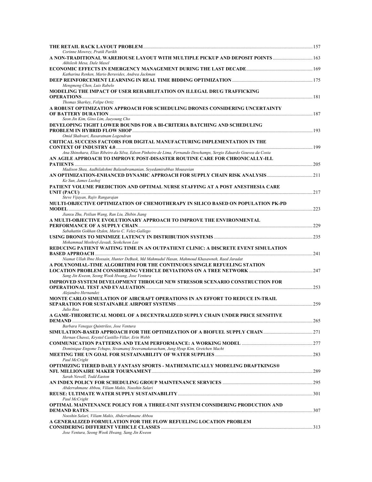| Corinne Mowrey, Pratik Parikh<br>A NON-TRADITIONAL WAREHOUSE LAYOUT WITH MULTIPLE PICKUP AND DEPOSIT POINTS  163             |  |
|------------------------------------------------------------------------------------------------------------------------------|--|
| Akhilesh Mesa, Dale Masel                                                                                                    |  |
| Katharina Renken, Mario Beruvides, Andrea Jackman                                                                            |  |
|                                                                                                                              |  |
| Mengmeng Chen, Luis Rabelo                                                                                                   |  |
| MODELING THE IMPACT OF USER REHABILITATION ON ILLEGAL DRUG TRAFFICKING                                                       |  |
| Thomas Sharkey, Felipe Ortiz                                                                                                 |  |
| A ROBUST OPTIMIZATION APPROACH FOR SCHEDULING DRONES CONSIDERING UNCERTAINTY                                                 |  |
| Seon Jin Kim, Gino Lim, Jaeyoung Cho                                                                                         |  |
| DEVELOPING TIGHT LOWER BOUNDS FOR A BI-CRITERIA BATCHING AND SCHEDULING                                                      |  |
| <b>PROBLEM IN HYBRID FLOW SHOP</b>                                                                                           |  |
| Omid Shahvari, Rasaratnam Logendran<br>CRITICAL SUCCESS FACTORS FOR DIGITAL MANUFACTURING IMPLEMENTATION IN THE              |  |
|                                                                                                                              |  |
| Ana Shinohara, Elias Ribeiro da Silva, Edson Pinheiro de Lima, Fernando Deschamps, Sergio Eduardo Gouvea da Costa            |  |
| AN AGILE APPROACH TO IMPROVE POST-DISASTER ROUTINE CARE FOR CHRONICALLY-ILL                                                  |  |
| Madison Shea, Aadhilakshmi Balasubramanian, Seyedamirabbas Mousavian                                                         |  |
|                                                                                                                              |  |
| Ke Sun, James Luxhoj<br>PATIENT VOLUME PREDICTION AND OPTIMAL NURSE STAFFING AT A POST ANESTHESIA CARE                       |  |
|                                                                                                                              |  |
| Steve Vijayan, Rajiv Rangarajan                                                                                              |  |
| MULTI-OBJECTIVE OPTIMIZATION OF CHEMOTHERAPY IN SILICO BASED ON POPULATION PK-PD                                             |  |
| Jianxu Zhu, Peilian Wang, Ran Liu, Zhibin Jiang                                                                              |  |
| A MULTI-OBJECTIVE EVOLUTIONARY APPROACH TO IMPROVE THE ENVIRONMENTAL                                                         |  |
| Sabahattin Gokhan Ozden, Mario C. Velez-Gallego                                                                              |  |
|                                                                                                                              |  |
| Mohammad Moshref-Javadi, Seokcheon Lee<br>REDUCING PATIENT WAITING TIME IN AN OUTPATIENT CLINIC: A DISCRETE EVENT SIMULATION |  |
|                                                                                                                              |  |
| Niamat Ullah Ibne Hossain, Hunter DeBusk, Md Mahmudul Hasan, Mahmoud Khasawneh, Raed Jaradat                                 |  |
| A POLYNOMIAL-TIME ALGORITHM FOR THE CONTINUOUS SINGLE REFUELING STATION                                                      |  |
| Sang Jin Kweon, Seong Wook Hwang, Jose Ventura                                                                               |  |
| <b>IMPROVED SYSTEM DEVELOPMENT THROUGH NEW STRESSOR SCENARIO CONSTRUCTION FOR</b>                                            |  |
| Alejandro Hernandez                                                                                                          |  |
| MONTE CARLO SIMULATION OF AIRCRAFT OPERATIONS IN AN EFFORT TO REDUCE IN-TRAIL                                                |  |
|                                                                                                                              |  |
| Julio Roa<br>A GAME-THEORETICAL MODEL OF A DECENTRALIZED SUPPLY CHAIN UNDER PRICE SENSITIVE                                  |  |
|                                                                                                                              |  |
| Barbara Venegas Ouintrileo, Jose Ventura                                                                                     |  |
| Hernan Chavez, Krystel Castillo-Villar, Erin Webb                                                                            |  |
|                                                                                                                              |  |
| Dominique Engome Tchupo, Sivamanoj Sreeramakavacham, Jung Hyup Kim, Gretchen Macht                                           |  |
| Paul McCright                                                                                                                |  |
| OPTIMIZING TIERED DAILY FANTASY SPORTS - MATHEMATICALLY MODELING DRAFTKINGS®                                                 |  |
| Sarah Newell, Todd Easton                                                                                                    |  |
|                                                                                                                              |  |
| Abderrahmane Abbou, Viliam Makis, Nooshin Salari                                                                             |  |
| Paul McCright                                                                                                                |  |
| OPTIMAL MAINTENANCE POLICY FOR A THREE-UNIT SYSTEM CONSIDERING PRODUCTION AND                                                |  |
|                                                                                                                              |  |
| Nooshin Salari, Viliam Makis, Abderrahmane Abbou<br>A GENERALIZED FORMULATION FOR THE FLOW REFUELING LOCATION PROBLEM        |  |
|                                                                                                                              |  |
| Jose Ventura, Seong Wook Hwang, Sang Jin Kweon                                                                               |  |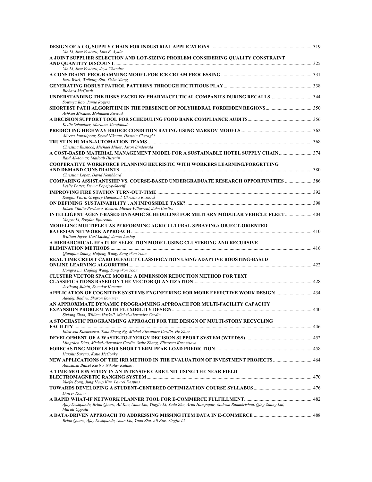| Xin Li, Jose Ventura, Luis F. Ayala                                                                                                                          |  |
|--------------------------------------------------------------------------------------------------------------------------------------------------------------|--|
| A JOINT SUPPLIER SELECTION AND LOT-SIZING PROBLEM CONSIDERING QUALITY CONSTRAINT                                                                             |  |
|                                                                                                                                                              |  |
| Xin Li, Jose Ventura, Jeya Chandra<br>Ezra Wari, Weihang Zhu, Yisha Xiang                                                                                    |  |
| Richard McGrath                                                                                                                                              |  |
| UNDERSTANDING THE RISKS FACED BY PHARMACEUTICAL COMPANIES DURING RECALLS344<br>Sowmya Rao, Jamie Rogers                                                      |  |
| Ashkan Mirzaee, Mohamed Awwad                                                                                                                                |  |
| Kellie Schneider, Mariana Aboujaoude                                                                                                                         |  |
| Alireza Jamalipour, Seyed Niknam, Hossein Cheraghi                                                                                                           |  |
| TRUST IN HUMAN-AUTOMATION TEAMS<br>Christina Rusnock, Michael Miller, Jason Bindewald                                                                        |  |
| A COST-BASED MATERIAL MANAGEMENT MODEL FOR A SUSTAINABLE HOTEL SUPPLY CHAIN 374<br>Raid Al-Aomar, Matloub Hussain                                            |  |
| <b>COOPERATIVE WORKFORCE PLANNING HEURISTIC WITH WORKERS LEARNING/FORGETTING</b><br>Christian Lopez, David Nembhard                                          |  |
| <b>COMPARING ASSISTANTSHIP VS. COURSE-BASED UNDERGRADUATE RESEARCH OPPORTUNITIES  386</b><br>Leslie Potter, Devna Popejoy-Sheriff                            |  |
|                                                                                                                                                              |  |
| Keegan Vaira, Gregory Hammond, Christina Rusnock                                                                                                             |  |
| Eliseo Vilalta-Perdomo, Rosario Michel-Villarreal, John Corliss                                                                                              |  |
| INTELLIGENT AGENT-BASED DYNAMIC SCHEDULING FOR MILITARY MODULAR VEHICLE FLEET  404<br>Xingyu Li, Bogdan Epureanu                                             |  |
| MODELING MULTIPLE UAS PERFORMING AGRICULTURAL SPRAYING; OBJECT-ORIENTED                                                                                      |  |
| William Joyce, Carl Luxhoj, James Luxhoj<br>A HIERARCHICAL FEATURE SELECTION MODEL USING CLUSTERING AND RECURSIVE                                            |  |
| Qianqian Zhang, Haifeng Wang, Sang Won Yoon                                                                                                                  |  |
| REAL TIME CREDIT CARD DEFAULT CLASSIFICATION USING ADAPTIVE BOOSTING-BASED<br>Hongya Lu, Haifeng Wang, Sang Won Yoon                                         |  |
| <b>CLUSTER VECTOR SPACE MODEL: A DIMENSION REDUCTION METHOD FOR TEXT</b><br>Juxihong Julaiti, Soundar Kumara                                                 |  |
| APPLICATION OF COGNITIVE SYSTEMS ENGINEERING FOR MORE EFFECTIVE WORK DESIGN  434<br>Adedeji Badiru, Sharon Bommer                                            |  |
| AN APPROXIMATE DYNAMIC PROGRAMMING APPROACH FOR MULTI-FACILITY CAPACITY                                                                                      |  |
| Sixiang Zhao, William Haskell, Michel-Alexandre Cardin<br>A STOCHASTIC PROGRAMMING APPROACH FOR THE DESIGN OF MULTI-STORY RECYCLING                          |  |
| Elizaveta Kuznetsova, Tsan Sheng Ng, Michel-Alexandre Cardin, He Zhou                                                                                        |  |
| Mingzhen Diao, Michel-Alexandre Cardin, Sizhe Zhang, Elizaveta Kuznetsova                                                                                    |  |
| Harshit Saxena, Katie McConky<br>NEW APPLICATIONS OF THE IRR METHOD IN THE EVALUATION OF INVESTMENT PROJECTS 464<br>Anastasia Blaset Kastro, Nikolay Kulakov |  |
| A TIME-MOTION STUDY IN AN INTENSIVE CARE UNIT USING THE NEAR FIELD                                                                                           |  |
| Xuefei Song, Jung Hyup Kim, Laurel Despins                                                                                                                   |  |
| Dincer Konur                                                                                                                                                 |  |
| Ajay Deshpande, Brian Quanz, Ali Koc, Xuan Liu, Yingjie Li, Yada Zhu, Arun Hampapur, Mahesh Ramakrishna, Qing Zhang Lai,<br>Murali Uppala                    |  |
| Brian Quanz, Ajay Deshpande, Xuan Liu, Yada Zhu, Ali Koc, Yingjie Li                                                                                         |  |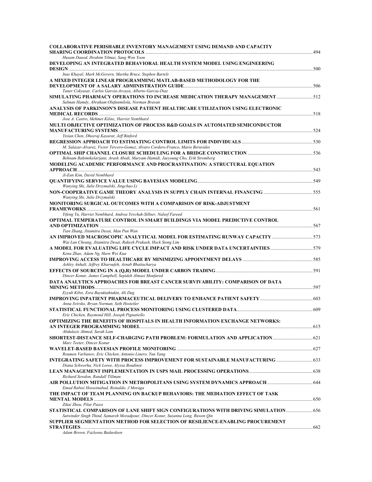| COLLABORATIVE PERISHABLE INVENTORY MANAGEMENT USING DEMAND AND CAPACITY                                                                           | $\sim 494$ |
|---------------------------------------------------------------------------------------------------------------------------------------------------|------------|
| Husam Dauod, Ibrahim Yilmaz, Sang Won Yoon                                                                                                        |            |
| DEVELOPING AN INTEGRATED BEHAVIORAL HEALTH SYSTEM MODEL USING ENGINEERING                                                                         |            |
| Inas Khayal, Mark McGovern, Martha Bruce, Stephen Bartels                                                                                         |            |
| A MIXED INTEGER LINEAR PROGRAMMING MATLAB-BASED METHODOLOGY FOR THE                                                                               |            |
| Taner Cokyasar, Carlos Garcia-Arcaya, Alberto Garcia-Diaz                                                                                         |            |
| Salman Hamdy, Abraham Olufunmilola, Norman Bravan                                                                                                 |            |
| ANALYSIS OF PARKINSON'S DISEASE PATIENT HEALTHCARE UTILIZATION USING ELECTRONIC<br>Jose A. Castro, Mehmet Kilinc, Harriet Nembhard                | 518        |
| MULTI OBJECTIVE OPTIMIZATION OF PROCESS R&D GOALS IN AUTOMATED SEMICONDUCTOR                                                                      |            |
| Yixian Chen, Dheeraj Kayarat, Jeff Binford                                                                                                        |            |
|                                                                                                                                                   |            |
| M. Salazar-Alvarez, Victor Tercero-Gomez, Alvaro Cordero-Franco, Mario Beruvides                                                                  |            |
| Behnam Rahimikelarijani, Arash Abedi, Maryam Hamidi, Jaeyoung Cho, Erik Stromberg                                                                 |            |
| MODELING ACADEMIC PERFORMANCE AND PROCRASTINATION: A STRUCTURAL EQUATION                                                                          |            |
| Ji-Eun Kim, David Nembhard                                                                                                                        |            |
|                                                                                                                                                   |            |
| Wanying Shi, Julie Drzymalski, Jingchao Li                                                                                                        |            |
| Wanying Shi, Julie Drzymalski                                                                                                                     |            |
| MONITORING SURGICAL OUTCOMES WITH A COMPARISON OF RISK-ADJUSTMENT                                                                                 |            |
| Yifeng Yu, Harriet Nembhard, Andrea Yevchak-Sillner, Naleef Fareed<br>OPTIMAL TEMPERATURE CONTROL IN SMART BUILDINGS VIA MODEL PREDICTIVE CONTROL |            |
| Tian Zhang, Jitamitra Desai, Man Pun Wan                                                                                                          |            |
|                                                                                                                                                   |            |
| Wai Lun Cheung, Jitamitra Desai, Rakesh Prakash, Hock Siong Lim<br>A MODEL FOR EVALUATING LIFE CYCLE IMPACT AND RISK UNDER DATA UNCERTAINTIES 579 |            |
| Kena Zhao, Adam Ng, Harn Wei Kua                                                                                                                  |            |
| Ashley Anhalt, Jeffrey Kharoufeh, Arnab Bhattacharya                                                                                              |            |
| Dincer Konur, James Campbell, Sepideh Almasi Monfared                                                                                             |            |
| DATA ANALYTICS APPROACHES FOR BREAST CANCER SURVIVABILITY: COMPARISON OF DATA<br><b>MINING METHODS </b>                                           |            |
| Eyyub Kibis, Esra Buyuktahtakin, Ali Dag                                                                                                          |            |
| Anna Svirsko, Bryan Norman, Seth Hostetler                                                                                                        |            |
|                                                                                                                                                   |            |
| Eric Chicken, Raymond Hill, Joesph Pignatiello<br>OPTIMIZING THE BENEFITS OF HOSPITALS IN HEALTH INFORMATION EXCHANGE NETWORKS:                   |            |
| Abdulaziz Ahmed, Sarah Lam                                                                                                                        |            |
| Marc Teeter, Dincer Konur                                                                                                                         |            |
|                                                                                                                                                   |            |
| Roumen Varbanov, Eric Chicken, Antonio Linero, Yun Yang                                                                                           |            |
| Diana Schwerha, Nick Loree, Alyssa Boudinot                                                                                                       |            |
| Richard Sowdon, Randall Tillman                                                                                                                   |            |
| Emad Rabiei Hosseinabad, Reinaldo. J Moraga                                                                                                       |            |
| THE IMPACT OF TEAM PLANNING ON BACKUP BEHAVIORS: THE MEDIATION EFFECT OF TASK                                                                     |            |
| Zikai Zhou, Pilar Pazos                                                                                                                           |            |
| Satwinder Singh Thind, Samareh Moradpour, Dincer Konur, Suzanna Long, Ruwen Qin                                                                   |            |
| SUPPLIER SEGMENTATION METHOD FOR SELECTION OF RESILIENCE-ENABLING PROCUREMENT                                                                     |            |
| Adam Brown, Fazleena Badurdeen                                                                                                                    |            |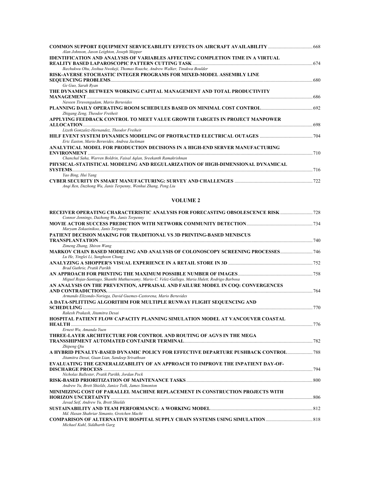| Alan Johnson, Jason Leighton, Joseph Skipper                                           |     |
|----------------------------------------------------------------------------------------|-----|
| <b>IDENTIFICATION AND ANALYSIS OF VARIABLES AFFECTING COMPLETION TIME IN A VIRTUAL</b> |     |
|                                                                                        |     |
| Ikechukwu Ohu, Joshua Nwokeji, Thomas Roache, Andrew Walker, Tinukwa Boulder           |     |
| RISK-AVERSE STOCHASTIC INTEGER PROGRAMS FOR MIXED-MODEL ASSEMBLY LINE                  |     |
|                                                                                        |     |
| Ge Guo, Sarah Ryan                                                                     |     |
| THE DYNAMICS BETWEEN WORKING CAPITAL MANAGEMENT AND TOTAL PRODUCTIVITY                 |     |
|                                                                                        | 686 |
| Naveen Tiruvengadam, Mario Beruvides                                                   |     |
|                                                                                        |     |
| Zhigang Zeng, Theodor Freiheit                                                         |     |
| APPLYING FEEDBACK CONTROL TO MEET VALUE GROWTH TARGETS IN PROJECT MANPOWER             |     |
|                                                                                        | 698 |
| Lizeth Gonzalez-Hernandez. Theodor Freiheit                                            |     |
|                                                                                        |     |
| Eric Easton, Mario Beruvides, Andrea Jackman                                           |     |
| ANALYTICAL MODEL FOR PRODUCTION DECISIONS IN A HIGH-END SERVER MANUFACTURING           |     |
|                                                                                        |     |
| Chanchal Saha, Warren Boldrin, Faisal Aglan, Sreekanth Ramakrishnan                    |     |
| PHYSICAL-STATISTICAL MODELING AND REGULARIZATION OF HIGH-DIMENSIONAL DYNAMICAL         |     |
| <b>SYSTEMS</b>                                                                         | 716 |
| Yao Bing, Hui Yang                                                                     |     |
| Angi Ren, Dazhong Wu, Janis Terpenny, Wenhui Zhang, Peng Liu                           | 722 |

#### **VOLUME 2**

| RECEIVER OPERATING CHARACTERISTIC ANALYSIS FOR FORECASTING OBSOLESCENCE RISK<br>Connor Jennings, Dazhong Wu, Janis Terpenny                                |     |
|------------------------------------------------------------------------------------------------------------------------------------------------------------|-----|
| Maryam Zokaeinikoo, Janis Terpenny                                                                                                                         |     |
| <b>PATIENT DECISION MAKING FOR TRADITIONAL VS 3D PRINTING-BASED MENISCUS</b>                                                                               |     |
| Zimeng Zhang, Shiren Wang<br>Lu He, Yinglei Li, Sunghoon Chung                                                                                             |     |
| Brad Guthrie, Pratik Parikh                                                                                                                                |     |
| Miguel Rojas-Santiago, Shanthi Muthuswamy, Mario C. Velez-Gallego, Maria Hulett, Rodrigo Barbosa                                                           |     |
| AN ANALYSIS ON THE PREVENTION, APPRAISAL AND FAILURE MODEL IN COO: CONVERGENCES                                                                            |     |
| Armando Elizondo-Noriega, David Guemes-Castorena, Mario Beruvides<br>A DATA-SPLITTING ALGORITHM FOR MULTIPLE RUNWAY FLIGHT SEQUENCING AND                  | 770 |
| Rakesh Prakash, Jitamitra Desai<br>HOSPITAL PATIENT FLOW CAPACITY PLANNING SIMULATION MODEL AT VANCOUVER COASTAL<br>776                                    |     |
| Ernest Wu, Amanda Yuen<br>THREE-LAYER ARCHITECTURE FOR CONTROL AND ROUTING OF AGVS IN THE MEGA                                                             |     |
| Zhipeng Oiu<br>A HYBRID PENALTY-BASED DYNAMIC POLICY FOR EFFECTIVE DEPARTURE PUSHBACK CONTROL 788<br>Jitamitra Desai, Guan Lian, Sandeep Srivathsan        |     |
| EVALUATING THE GENERALIZABILITY OF AN APPROACH TO IMPROVE THE INPATIENT DAY-OF-<br>DISCHARGE PROCESS 294<br>Nicholas Ballester, Pratik Parikh, Jordan Peck |     |
| Andrew Yu, Brett Shields, Janice Tolk, James Simonton                                                                                                      |     |
| MINIMIZING COST OF PARALLEL MACHINE REPLACEMENT IN CONSTRUCTION PROJECTS WITH<br>806<br>Javad Seif, Andrew Yu, Brett Shields                               |     |
| Md. Hasan Shahriar Simanto, Gretchen Macht                                                                                                                 |     |
| Michael Kuhl, Siddharth Garg                                                                                                                               |     |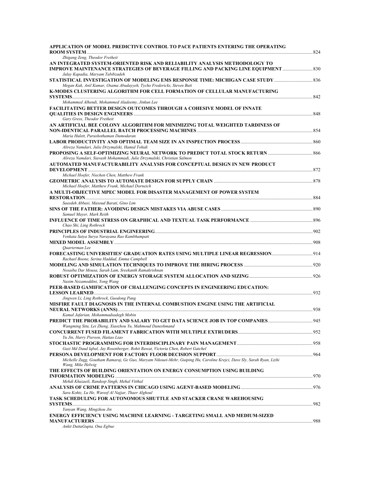| APPLICATION OF MODEL PREDICTIVE CONTROL TO PACE PATIENTS ENTERING THE OPERATING                                                                                   |  |
|-------------------------------------------------------------------------------------------------------------------------------------------------------------------|--|
| Zhigang Zeng, Theodor Freiheit                                                                                                                                    |  |
| AN INTEGRATED SYSTEM-ORIENTED RISK AND RELIABILITY ANALYSIS METHODOLOGY TO<br>1830. IMPROVE MAINTENANCE STRATEGIES OF BEVERAGE FILLING AND PACKING LINE EQUIPMENT |  |
| Jalay Kapadia, Maryam Tabibzadeh                                                                                                                                  |  |
| Megan Kuk, Anil Kumar, Osama Abudayyeh, Tycho Fredericks, Steven Butt<br>K-MODES CLUSTERING ALGORITHM FOR CELL FORMATION OF CELLULAR MANUFACTURING                |  |
|                                                                                                                                                                   |  |
| Mohammed Alhendi, Mohammed Aladeemy, Jinkun Lee<br>FACILITATING BETTER DESIGN OUTCOMES THROUGH A COHESIVE MODEL OF INNATE                                         |  |
| Gary Gress, Theodor Freiheit                                                                                                                                      |  |
| AN ARTIFICIAL BEE COLONY ALGORITHM FOR MINIMIZING TOTAL WEIGHTED TARDINESS OF<br>Maria Hulett, Purushothaman Damodaran                                            |  |
|                                                                                                                                                                   |  |
| Alireza Namdari, Julie Drzymalski, Hamid Tohidi                                                                                                                   |  |
| Alireza Namdari, Siavash Mohammadi, Julie Drzymalski, Christian Salmon                                                                                            |  |
| AUTOMATED MANUFACTURABILITY ANALYSIS FOR CONCEPTUAL DESIGN IN NEW PRODUCT<br>Michael Hoefer, Niechen Chen, Matthew Frank                                          |  |
| Michael Hoefer, Matthew Frank, Michael Dorneich                                                                                                                   |  |
| A MULTI-OBJECTIVE MPEC MODEL FOR DISASTER MANAGEMENT OF POWER SYSTEM                                                                                              |  |
|                                                                                                                                                                   |  |
| Saeedeh Abbasi, Masoud Barati, Gino Lim                                                                                                                           |  |
| Samuel Mayer, Mark Reith<br>Chao Shi, Ling Rothrock                                                                                                               |  |
| Venkata Satya Surya Narayana Rao Kambhampati                                                                                                                      |  |
|                                                                                                                                                                   |  |
| Quarterman Lee                                                                                                                                                    |  |
| Rachael Boone, Serina Haddad, Emma Campbell                                                                                                                       |  |
| Nosaiba Dar Mousa, Sarah Lam, Sreekanth Ramakrishnan                                                                                                              |  |
| Nasim Nezamoddini, Yong Wang<br>PEER-BASED GAMIFICATION OF CHALLENGING CONCEPTS IN ENGINEERING EDUCATION:                                                         |  |
| Jingwen Li, Ling Rothrock, Guodong Pang                                                                                                                           |  |
| MISFIRE FAULT DIAGNOSIS IN THE INTERNAL COMBUSTION ENGINE USING THE ARTIFICIAL                                                                                    |  |
| Kamal Jafarian, Mohammadsadegh Mobin                                                                                                                              |  |
| PREDICT THE PROBABILITY AND SALARY TO GET DATA SCIENCE JOB IN TOP COMPANIES945<br>Wangming Situ, Lei Zheng, Xiaozhou Yu, Mahmoud Daneshmand                       |  |
| Yu Jin, Harry Pierson, Haitao Liao                                                                                                                                |  |
| Gazi Md Daud Iqbal, Jay Rosenberger, Rohit Rawat, Victoria Chen, Robert Gatchel                                                                                   |  |
| Michelle Zugg, Goutham Ramaraj, Ge Guo, Maryam Nikouei-Mehr, Guiping Hu, Caroline Krejci, Dave Sly, Sarah Ryan, Lizhi<br>Wang, Mike Helwig                        |  |
| THE EFFECTS OF BUILDING ORIENTATION ON ENERGY CONSUMPTION USING BUILDING                                                                                          |  |
| Mehdi Khazaeli, Randeep Singh, Mehal Vitthal                                                                                                                      |  |
| Sara Kohtz, Lu He, Wareef Al Najjar, Thaer Alghoul                                                                                                                |  |
| TASK SCHEDULING FOR AUTONOMOUS SHUTTLE AND STACKER CRANE WAREHOUSING                                                                                              |  |
| Yanyan Wang, Mingzhou Jin<br>ENERGY EFFICIENCY USING MACHINE LEARNING - TARGETING SMALL AND MEDIUM-SIZED                                                          |  |
| Ankit DuttaGupta, Ona Egbue                                                                                                                                       |  |
|                                                                                                                                                                   |  |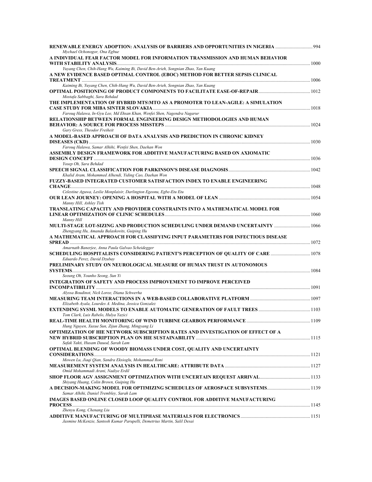| Mychael Ochonogor, Ona Egbue                                                                             |  |
|----------------------------------------------------------------------------------------------------------|--|
| A INDIVIDUAL FEAR FACTOR MODEL FOR INFORMATION TRANSMISSION AND HUMAN BEHAVIOR                           |  |
| Yuyang Chen, Chih-Hang Wu, Kaiming Bi, David Ben-Arieh, Songnian Zhao, Yan Kuang                         |  |
| A NEW EVIDENCE BASED OPTIMAL CONTROL (EBOC) METHOD FOR BETTER SEPSIS CLINICAL                            |  |
|                                                                                                          |  |
| Kaiming Bi, Yuyang Chen, Chih-Hang Wu, David Ben-Arieh, Songnian Zhao, Yan Kuang                         |  |
| Mostafa Sabbaghi, Sara Behdad                                                                            |  |
| THE IMPLEMENTATION OF HYBRID MTS\MTO AS A PROMOTER TO LEAN-AGILE: A SIMULATION                           |  |
| Farouq Halawa, In-Gyu Lee, Md Ehsan Khan, Wenfei Shen, Nagendra Nagarur                                  |  |
| RELATIONSHIP BETWEEN FORMAL ENGINEERING DESIGN METHODOLOGIES AND HUMAN                                   |  |
|                                                                                                          |  |
| Gary Gress, Theodor Freiheit<br>A MODEL-BASED APPROACH OF DATA ANALYSIS AND PREDICTION IN CHRONIC KIDNEY |  |
|                                                                                                          |  |
| Farouq Halawa, Samar Alhihi, Wenfei Shen, Daehan Won                                                     |  |
| ASSEMBLY DESIGN FRAMEWORK FOR ADDITIVE MANUFACTURING BASED ON AXIOMATIC                                  |  |
| Yosep Oh, Sara Behdad                                                                                    |  |
|                                                                                                          |  |
| Khalid Aram, Mohammed Alhendi, Yiding Cao, Daehan Won                                                    |  |
| FUZZY-BASED INTEGRATED CUSTOMER SATISFACTION INDEX TO ENABLE ENGINEERING                                 |  |
| Celestine Aguwa, Leslie Monplaisir, Darlington Egeonu, Egbe-Etu Etu                                      |  |
|                                                                                                          |  |
| Manny Hill, Ashley Tish<br>TRANSLATING CAPACITY AND PROVIDER CONSTRAINTS INTO A MATHEMATICAL MODEL FOR   |  |
|                                                                                                          |  |
| Manny Hill                                                                                               |  |
| Zhengyang Hu, Amanda Balaskovits, Guiping Hu                                                             |  |
| A MATHEMATICAL APPROACH FOR CLASSIFYING INPUT PARAMETERS FOR INFECTIOUS DISEASE                          |  |
| Amarnath Banerjee, Anna Paula Galvao Scheidegger                                                         |  |
|                                                                                                          |  |
| Eduardo Perez, David Dzubay                                                                              |  |
| PRELIMINARY STUDY ON NEUROLOGICAL MEASURE OF HUMAN TRUST IN AUTONOMOUS                                   |  |
| <b>SYSTEMS</b><br>Seeung Oh, Younho Seong, Sun Yi                                                        |  |
| <b>INTEGRATION OF SAFETY AND PROCESS IMPROVEMENT TO IMPROVE PERCEIVED</b>                                |  |
|                                                                                                          |  |
| Alyssa Boudinot, Nick Loree, Diana Schwerha                                                              |  |
| Elizabeth Ayala, Lourdes A. Medina, Jessica Gonzalez                                                     |  |
|                                                                                                          |  |
| Tom Clark, Luis Rabelo, Hulya Yazici                                                                     |  |
| Hung Nguyen, Xuxue Sun, Zijun Zhang, Mingyang Li                                                         |  |
| OPTIMIZATION OF HIE NETWORK SUBSCRIPTION RATES AND INVESTIGATION OF EFFECT OF A                          |  |
| Safak Yakti, Husam Dauod, Sarah Lam                                                                      |  |
| OPTIMAL BLENDING OF WOODY BIOMASS UNDER COST, QUALITY AND UNCERTAINTY                                    |  |
|                                                                                                          |  |
| Mowen Lu, Jiaqi Qian, Sandra Eksioglu, Mohammad Roni                                                     |  |
| Omid Mohammadi Arani, Nadiye Erdil                                                                       |  |
|                                                                                                          |  |
| Shiyang Huang, Colin Brown, Guiping Hu                                                                   |  |
| Samar Alhihi, Daniel Trembley, Sarah Lam                                                                 |  |
| IMAGES BASED ONLINE CLOSED LOOP QUALITY CONTROL FOR ADDITIVE MANUFACTURING                               |  |
| Zhenyu Kong, Chenang Liu                                                                                 |  |
|                                                                                                          |  |
| Jasmine McKenzie, Santosh Kumar Parupelli, Demetrius Martin, Salil Desai                                 |  |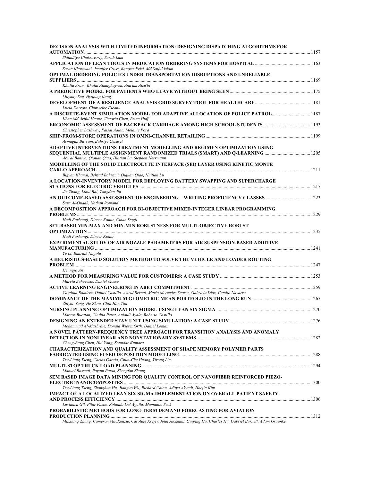| DECISION ANALYSIS WITH LIMITED INFORMATION: DESIGNING DISPATCHING ALGORITHMS FOR                                                   |  |
|------------------------------------------------------------------------------------------------------------------------------------|--|
| Shiladitya Chakravorty, Sarah Lam                                                                                                  |  |
| Sasan Khorasani, Jennifer Cross, Ramyar Feizi, Md Saiful Islam                                                                     |  |
| OPTIMAL ORDERING POLICIES UNDER TRANSPORTATION DISRUPTIONS AND UNRELIABLE                                                          |  |
| Khalid Aram, Khalid Almaghayreh, Ana'am Alzu'bi                                                                                    |  |
|                                                                                                                                    |  |
| Muyang Sun, Hyojung Kang                                                                                                           |  |
| Lucia Darrow, Chinweike Eseonu                                                                                                     |  |
| A DISCRETE-EVENT SIMULATION MODEL FOR ADAPTIVE ALLOCATION OF POLICE PATROL 1187<br>Khan Md Ariful Haque, Victoria Chen, Brian Huff |  |
| Christopher Lashway, Faisal Aqlan, Melanie Ford                                                                                    |  |
|                                                                                                                                    |  |
| Armagan Bayram, Bahriye Cesaret                                                                                                    |  |
| ADAPTIVE INTERVENTIONS TREATMENT MODELLING AND REGIMEN OPTIMIZATION USING                                                          |  |
|                                                                                                                                    |  |
| Abiral Baniya, Qiquan Qiao, Huitian Lu, Stephen Herrmann                                                                           |  |
| MODELLING OF THE SOLID ELECTROLYTE INTERFACE (SEI) LAYER USING KINETIC MONTE                                                       |  |
|                                                                                                                                    |  |
| Bigyan Khanal, Behzad Bahrami, Qiquan Qiao, Huitian Lu                                                                             |  |
| A LOCATION-INVENTORY MODEL FOR DEPLOYING BATTERY SWAPPING AND SUPERCHARGE                                                          |  |
|                                                                                                                                    |  |
| Jie Zhang, Lihui Bai, Tongdan Jin                                                                                                  |  |
|                                                                                                                                    |  |
| Sura Al-Qudah, Nathan Romond                                                                                                       |  |
| A DECOMPOSITION APPROACH FOR BI-OBJECTIVE MIXED-INTEGER LINEAR PROGRAMMING                                                         |  |
|                                                                                                                                    |  |
| Hadi Farhangi, Dincer Konur, Cihan Dagli                                                                                           |  |
| <b>SET-BASED MIN-MAX AND MIN-MIN ROBUSTNESS FOR MULTI-OBJECTIVE ROBUST</b>                                                         |  |
|                                                                                                                                    |  |
| Hadi Farhangi, Dincer Konur                                                                                                        |  |
| EXPERIMENTAL STUDY OF AIR NOZZLE PARAMETERS FOR AIR SUSPENSION-BASED ADDITIVE                                                      |  |
|                                                                                                                                    |  |
| Ye Li, Bharath Nagolu                                                                                                              |  |
| A HEURISTICS-BASED SOLUTION METHOD TO SOLVE THE VEHICLE AND LOADER ROUTING                                                         |  |
|                                                                                                                                    |  |
| Heungjo An                                                                                                                         |  |
|                                                                                                                                    |  |
| Marcia Echeveste, Daniel Mosse                                                                                                     |  |
|                                                                                                                                    |  |
| Catalina Ramirez, Daniel Castillo, Astrid Bernal, Maria Mercedes Suarez, Gabriela Diaz, Camilo Navarro                             |  |
|                                                                                                                                    |  |
| Zhiyue Yang, He Zhou, Chin Hon Tan                                                                                                 |  |
|                                                                                                                                    |  |
| Marcos Buestan, Cinthia Perez, Anjouli Ayala, Roberto Castillo                                                                     |  |
|                                                                                                                                    |  |
| Mohammad Al-Mashraie, Donald Wiesenforth, Daniel Loman                                                                             |  |
| A NOVEL PATTERN-FREQUENCY TREE APPROACH FOR TRANSITION ANALYSIS AND ANOMALY                                                        |  |
|                                                                                                                                    |  |
| Cheng-Bang Chen, Hui Yang, Soundar Kumara                                                                                          |  |
| <b>CHARACTERIZATION AND QUALITY ASSESSMENT OF SHAPE MEMORY POLYMER PARTS</b>                                                       |  |
|                                                                                                                                    |  |
| Tzu-Liang Tseng, Carlos Garcia, Chun-Che Huang, Yirong Lin                                                                         |  |
|                                                                                                                                    |  |
| Manuel Rossetti, Payam Parsa, Shengfan Zhang                                                                                       |  |
| SEM BASED IMAGE DATA MINING FOR QUALITY CONTROL OF NANOFIBER REINFORCED PIEZO-                                                     |  |
|                                                                                                                                    |  |
| Tzu-Liang Tseng, Zhonghua Hu, Jianguo Wu, Richard Chiou, Aditya Akundi, Hoejin Kim                                                 |  |
| IMPACT OF A LOCALIZED LEAN SIX SIGMA IMPLEMENTATION ON OVERALL PATIENT SAFETY                                                      |  |
|                                                                                                                                    |  |
| Luvianca Gil, Pilar Pazos, Rolando Del Aguila, Mamadou Seck                                                                        |  |
| PROBABILISTIC METHODS FOR LONG-TERM DEMAND FORECASTING FOR AVIATION                                                                |  |
|                                                                                                                                    |  |
| Minxiang Zhang, Cameron MacKenzie, Caroline Krejci, John Jackman, Guiping Hu, Charles Hu, Gabriel Burnett, Adam Graunke            |  |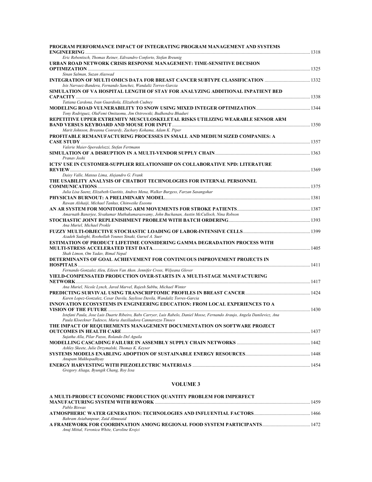| PROGRAM PERFORMANCE IMPACT OF INTEGRATING PROGRAM MANAGEMENT AND SYSTEMS                                                   |  |
|----------------------------------------------------------------------------------------------------------------------------|--|
| Eric Rebentisch, Thomas Reiner, Edivandro Conforto, Stefan Breunig                                                         |  |
| URBAN ROAD NETWORK CRISIS RESPONSE MANAGEMENT: TIME-SENSITIVE DECISION                                                     |  |
| Sinan Salman, Suzan Alaswad                                                                                                |  |
| Isis Narvaez-Bandera, Fernando Sanchez, Wandaliz Torres-Garcia                                                             |  |
| SIMULATION OF VA HOSPITAL LENGTH OF STAY FOR ANALYZING ADDITIONAL INPATIENT BED                                            |  |
|                                                                                                                            |  |
| Tatiana Cardona, Ivan Guardiola, Elizabeth Cudney                                                                          |  |
| Tony Rodriguez, OluFemi Omitaomu, Jim Ostrowski, Budhendra Bhaduri                                                         |  |
| REPETITIVE UPPER EXTREMITY MUSCULOSKELETAL RISKS UTILIZING WEARABLE SENSOR ARM                                             |  |
| Marit Johnson, Breanna Conrardy, Zachary Kohama, Adam K. Piper                                                             |  |
| PROFITABLE REMANUFACTURING PROCESSES IN SMALL AND MEDIUM SIZED COMPANIES: A                                                |  |
|                                                                                                                            |  |
| Valerie Maier-Speredelozzi, Stefan Fertmann                                                                                |  |
|                                                                                                                            |  |
| Pranav Joshi                                                                                                               |  |
| ICTS' USE IN CUSTOMER-SUPPLIER RELATIONSHIP ON COLLABORATIVE NPD: LITERATURE                                               |  |
|                                                                                                                            |  |
| Daisy Valle, Mateus Lima, Alejandro G. Frank                                                                               |  |
| THE USABILITY ANALYSIS OF CHATBOT TECHNOLOGIES FOR INTERNAL PERSONNEL                                                      |  |
| Julia Lisa Saenz, Elizabeth Gustitis, Andres Mena, Walker Burgess, Farzan Sasangohar                                       |  |
|                                                                                                                            |  |
| Rawan Alshaiji, Michael Tankus, Chinweike Eseonu                                                                           |  |
|                                                                                                                            |  |
| Amarnath Banerjee, Sivakumar Muthukumaraswamy, John Buchanan, Austin McCulloch, Nina Robson                                |  |
|                                                                                                                            |  |
| Ana Muriel, Michael Prokle                                                                                                 |  |
|                                                                                                                            |  |
| Azadeh Sadeghi, Roohollah Younes Sinaki, Gursel A. Suer                                                                    |  |
| ESTIMATION OF PRODUCT LIFETIME CONSIDERING GAMMA DEGRADATION PROCESS WITH                                                  |  |
|                                                                                                                            |  |
| Shah Limon, Om Yadav, Bimal Nepal                                                                                          |  |
| DETERMINANTS OF GOAL ACHIEVEMENT FOR CONTINUOUS IMPROVEMENT PROJECTS IN                                                    |  |
|                                                                                                                            |  |
| Fernando Gonzalez Aleu, Eileen Van Aken. Jennifer Cross, Wiljeana Glover                                                   |  |
| YIELD-COMPENSATED PRODUCTION OVER-STARTS IN A MULTI-STAGE MANUFACTURING                                                    |  |
|                                                                                                                            |  |
| Ana Muriel, Nicole Lynch, Jared Marvel, Rajesh Subbu, Michael Winter                                                       |  |
|                                                                                                                            |  |
| Karen Lopez-Gonzalez, Cesar Davila, Saylisse Davila, Wandaliz Torres-Garcia                                                |  |
| INNOVATION ECOSYSTEMS IN ENGINEERING EDUCATION: FROM LOCAL EXPERIENCES TO A                                                |  |
| Istefani Paula, Jose Luis Duarte Ribeiro, Babs Carryer, Luis Rabelo, Daniel Mosse, Fernando Araujo, Angela Danilevicz, Ana |  |
| Paula Kloeckner Tudesco, Maria Auxiliadora Cannarozzo Tinoco                                                               |  |
| THE IMPACT OF REQUIREMENTS MANAGEMENT DOCUMENTATION ON SOFTWARE PROJECT                                                    |  |
|                                                                                                                            |  |
| Sujatha Alla, Pilar Pazos, Rolando Del Aguila                                                                              |  |
|                                                                                                                            |  |
| Ashley Skeete, Julie Drzymalski, Thomas K. Keyser                                                                          |  |
|                                                                                                                            |  |
| Anupam Mukhopadhyay                                                                                                        |  |
| Gregory Aliaga, Byungik Chang, Roy Issa                                                                                    |  |

#### **VOLUME 3**

| A MULTI-PRODUCT ECONOMIC PRODUCTION QUANTITY PROBLEM FOR IMPERFECT |      |
|--------------------------------------------------------------------|------|
|                                                                    | 1459 |
| Pablo Biswas                                                       |      |
|                                                                    |      |
| Bahram Asiabanpour, Zaid Almusaid                                  |      |
|                                                                    |      |
| Anuj Mittal, Veronica White, Caroline Krejci                       |      |
|                                                                    |      |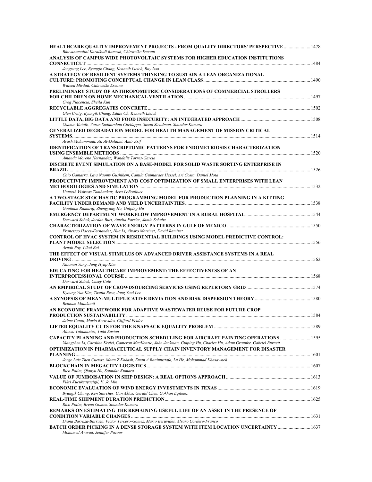| Bhuvanamalini Karaikudi Ramesh, Chinweike Eseonu                                                                                                                          |        |
|---------------------------------------------------------------------------------------------------------------------------------------------------------------------------|--------|
| ANALYSIS OF CAMPUS WIDE PHOTOVOLTAIC SYSTEMS FOR HIGHER EDUCATION INSTITUTIONS                                                                                            |        |
|                                                                                                                                                                           |        |
| Jongsung Lee, Byungik Chang, Kenneth Lietch, Roy Issa<br>A STRATEGY OF RESILIENT SYSTEMS THINKING TO SUSTAIN A LEAN ORGANIZATIONAL                                        |        |
| Waleed Mirdad, Chinweike Eseonu                                                                                                                                           |        |
| PRELIMINARY STUDY OF ANTHROPOMETRIC CONSIDERATIONS OF COMMERCIAL STROLLERS                                                                                                |        |
| Greg Placencia, Sheila Kun                                                                                                                                                |        |
|                                                                                                                                                                           |        |
| Glen Craig, Byungik Chang, Eddie Oh, Kenneth Lietch                                                                                                                       |        |
| Osama Alotaik, Varun Sudhurshun Chellappa, Susan Steadman, Soundar Kumara                                                                                                 |        |
| <b>GENERALIZED DEGRADATION MODEL FOR HEALTH MANAGEMENT OF MISSION CRITICAL</b>                                                                                            |        |
|                                                                                                                                                                           |        |
| Arash Mohammadi, Ali Al-Dulaimi, Amir Asif                                                                                                                                |        |
| <b>IDENTIFICATION OF TRANSCRIPTOMIC PATTERNS FOR ENDOMETRIOSIS CHARACTERIZATION</b>                                                                                       |        |
| Amanda Moreno Hernandez; Wandaliz Torres-Garcia                                                                                                                           |        |
| DISCRETE EVENT SIMULATION ON A BASE-MODEL FOR SOLID WASTE SORTING ENTERPRISE IN                                                                                           |        |
| Caio Gamarra, Lays Naomy Gushikem, Camila Guimaraes Hessel, Ari Costa, Daniel Mota                                                                                        |        |
| PRODUCTIVITY IMPROVEMENT AND COST OPTIMIZATION OF SMALL ENTERPRISES WITH LEAN                                                                                             |        |
|                                                                                                                                                                           |        |
| Unmesh Vishwas Tamhankar, Aera LeBoulluec<br>A TWO-STAGE STOCHASTIC PROGRAMMING MODEL FOR PRODUCTION PLANNING IN A KITTING                                                |        |
|                                                                                                                                                                           |        |
| Goutham Ramaraj, Zhengyang Hu, Guiping Hu                                                                                                                                 |        |
| Durward Sobek, Jordan Burt, Amelia Farrier, Jamie Schultz                                                                                                                 |        |
|                                                                                                                                                                           |        |
| Francisco Haces-Fernandez, Hua Li, Alvaro Martinez, David Ramirez                                                                                                         |        |
| CONTROL OF HVAC SYSTEM IN RESIDENTIAL BUILDINGS USING MODEL PREDICTIVE CONTROL:                                                                                           |        |
| Arnab Roy, Lihui Bai                                                                                                                                                      |        |
| THE EFFECT OF VISUAL STIMULUS ON ADVANCED DRIVER ASSISTANCE SYSTEMS IN A REAL                                                                                             |        |
| Xiaonan Yang, Jung Hyup Kim                                                                                                                                               |        |
| EDUCATING FOR HEALTHCARE IMPROVEMENT: THE EFFECTIVENESS OF AN                                                                                                             |        |
|                                                                                                                                                                           |        |
| Durward Sobek, Casey Cole                                                                                                                                                 |        |
| Kyoung Yun Kim, Tasnia Reza, Jong Youl Lee                                                                                                                                |        |
|                                                                                                                                                                           |        |
| Behnam Malakooti                                                                                                                                                          |        |
| AN ECONOMIC FRAMEWORK FOR ADAPTIVE WASTEWATER REUSE FOR FUTURE CROP<br><b>PRODUCTION SUSTAINABILITY </b>                                                                  | . 1584 |
| Jaime Cantu, Mario Beruvides, Clifford Felder                                                                                                                             |        |
|                                                                                                                                                                           |        |
| Alonso Talamantes, Todd Easton<br><b>CAPACITY PLANNING AND PRODUCTION SCHEDULING FOR AIRCRAFT PAINTING OPERATIONS </b> 1595                                               |        |
| Xiangzhen Li, Caroline Krejci, Cameron MacKenzie, John Jackman, Guiping Hu, Charles Hu, Adam Graunke, Gabriel Burnett                                                     |        |
| OPTIMIZATION IN PHARMACEUTICAL SUPPLY CHAIN INVENTORY MANAGEMENT FOR DISASTER                                                                                             |        |
| Jorge Luis Then Cuevas, Maan Z Kokash, Eman A Banimustafa, Lu He, Mohammad Khasawneh                                                                                      |        |
|                                                                                                                                                                           |        |
| Rico Polim, Oianyu Hu, Soundar Kumara                                                                                                                                     |        |
| Fikri Kucuksayacigil, K. Jo Min                                                                                                                                           |        |
|                                                                                                                                                                           |        |
| Byungik Chang, Ken Starcher, Can Aktas, Gerald Chen, Gokhan Egilmez                                                                                                       |        |
| Rico Polim, Breno Gomes, Soundar Kumara                                                                                                                                   |        |
| REMARKS ON ESTIMATING THE REMAINING USEFUL LIFE OF AN ASSET IN THE PRESENCE OF                                                                                            |        |
|                                                                                                                                                                           |        |
| Diana Barraza-Barraza, Victor Tercero-Gomez, Mario Beruvides, Alvaro Cordero-Franco<br>BATCH ORDER PICKING IN A DENSE STORAGE SYSTEM WITH ITEM LOCATION UNCERTAINTY  1637 |        |
| Mohamed Awwad, Jennifer Pazour                                                                                                                                            |        |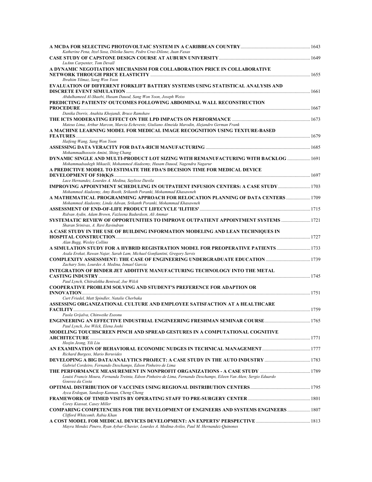| A MCDA FOR SELECTING PHOTOVOLTAIC SYSTEM IN A CARIBBEAN COUNTRY……………………………………………… 1643                                                                           |  |
|------------------------------------------------------------------------------------------------------------------------------------------------------------------|--|
| Katherine Pena, Itzel Sosa, Dileika Suero, Pedro Cruz-Dilone, Juan Faxas                                                                                         |  |
| LuAnn Carpenter, Tom Devall                                                                                                                                      |  |
| A DYNAMIC NEGOTIATION MECHANISM FOR COLLABORATION PRICE IN COLLABORATIVE<br>Ibrahim Yilmaz, Sang Won Yoon                                                        |  |
| EVALUATION OF DIFFERENT FORKLIFT BATTERY SYSTEMS USING STATISTICAL ANALYSIS AND                                                                                  |  |
| Abdulhameed Al-Shaebi, Husam Dauod, Sang Won Yoon, Joseph Weiss<br>PREDICTING PATIENTS' OUTCOMES FOLLOWING ABDOMINAL WALL RECONSTRUCTION                         |  |
|                                                                                                                                                                  |  |
| Danika Dorris, Anahita Khojandi, Bruce Ramshaw                                                                                                                   |  |
| Mateus Lima, Arthur Marcon, Marcia Echeveste, Giuliano Almeida Marodin, Alejandro German Frank                                                                   |  |
| A MACHINE LEARNING MODEL FOR MEDICAL IMAGE RECOGNITION USING TEXTURE-BASED                                                                                       |  |
| Haifeng Wang, Sang Won Yoon                                                                                                                                      |  |
| Mohammadhossein Amini, Shing Chang                                                                                                                               |  |
| DYNAMIC SINGLE AND MULTI-PRODUCT LOT SIZING WITH REMANUFACTURING WITH BACKLOG  1691<br>Mohammadsadegh Mikaeili, Mohammed Aladeemy, Husam Dauod, Nagendra Nagarur |  |
| A PREDICTIVE MODEL TO ESTIMATE THE FDA'S DECISION TIME FOR MEDICAL DEVICE                                                                                        |  |
| Lace Hernandez, Lourdes A. Medina, Saylisse Davila                                                                                                               |  |
| IMPROVING APPOINTMENT SCHEDULING IN OUTPATIENT INFUSION CENTERS: A CASE STUDY 1703<br>Mohammed Aladeemy, Amy Booth, Srikanth Poranki, Mohammad Khasawneh         |  |
| A MATHEMATICAL PROGRAMMING APPROACH FOR RELOCATION PLANNING OF DATA CENTERS  1709<br>Mohammed Aladeemy, Linda Adwan, Srikanth Poranki, Mohammad Khasawneh        |  |
| Ridvan Aydin, Adam Brown, Fazleena Badurdeen, Ali Ammar                                                                                                          |  |
| SYSTEMATIC REVIEW OF OPPORTUNITIES TO IMPROVE OUTPATIENT APPOINTMENT SYSTEMS  1721<br>Sharan Srinivas, A. Ravi Ravindran                                         |  |
| A CASE STUDY IN THE USE OF BUILDING INFORMATION MODELING AND LEAN TECHNIQUES IN                                                                                  |  |
| Alan Bugg, Wesley Collins<br>A SIMULATION STUDY FOR A HYBRID REGISTRATION MODEL FOR PREOPERATIVE PATIENTS  1733                                                  |  |
| Asala Erekat, Rawan Najar, Sarah Lam, Michael Gonfiantini, Gregory Servis                                                                                        |  |
| Zachary Soto, Lourdes A. Medina, Ismael Garcia<br>INTEGRATION OF BINDER JET ADDITIVE MANUFACTURING TECHNOLOGY INTO THE METAL                                     |  |
|                                                                                                                                                                  |  |
| Paul Lynch, Chitralekha Beniwal, Joe Wilck<br><b>COOPERATIVE PROBLEM SOLVING AND STUDENT'S PREFERENCE FOR ADAPTION OR</b>                                        |  |
|                                                                                                                                                                  |  |
| Curt Friedel, Matt Spindler, Natalie Cherbaka<br>ASSESSING ORGANIZATIONAL CULTURE AND EMPLOYEE SATISFACTION AT A HEALTHCARE                                      |  |
|                                                                                                                                                                  |  |
| Paola Grijalva, Chinweike Eseonu                                                                                                                                 |  |
| Paul Lynch, Joe Wilck, Elena Joshi<br>MODELING TOUCHSCREEN PINCH AND SPREAD GESTURES IN A COMPUTATIONAL COGNITIVE                                                |  |
|                                                                                                                                                                  |  |
| Heejin Jeong, Yili Liu                                                                                                                                           |  |
| Richard Burgess, Mario Beruvides                                                                                                                                 |  |
| DEVELOPING A BIG DATA/ANALYTICS PROJECT: A CASE STUDY IN THE AUTO INDUSTRY<br>Gabriel Cordeiro, Fernando Deschamps, Edson Pinheiro de Lima                       |  |
| Louisi Francis Moura, Fernanda Treinta, Edson Pinheiro de Lima, Fernando Deschamps, Eileen Van Aken; Sergio Eduardo                                              |  |
| Gouvea da Costa                                                                                                                                                  |  |
| Ayca Erdogan, Sandeep Kannan, Cheng Cheng                                                                                                                        |  |
| Corey Kiassat, Casey Miller<br><b>COMPARING COMPETENCIES FOR THE DEVELOPMENT OF ENGINEERS AND SYSTEMS ENGINEERS  1807</b>                                        |  |
| Clifford Whitcomb, Rabia Khan<br>Mayra Mendez Pinero, Ryan Aybar-Chavier, Lourdes A. Medina-Aviles, Paul M. Hernandez-Quinones                                   |  |
|                                                                                                                                                                  |  |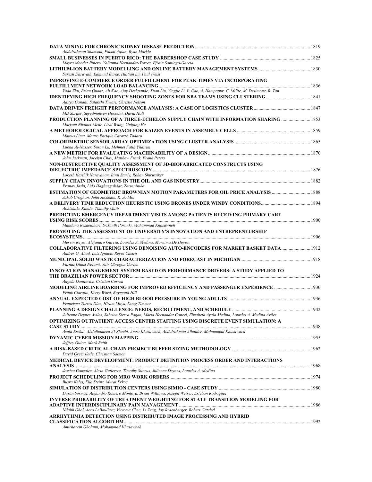| Abdulrahman Shamsan, Faisal Aqlan, Ryan Markle                                                                                                              |  |
|-------------------------------------------------------------------------------------------------------------------------------------------------------------|--|
| Mayra Mendez Pinero, Yolianna Hernandez-Torres, Efrain Santiago-Garcia<br>Suresh Daravath, Edmund Burke, Huitian Lu, Paul Weist                             |  |
| <b>IMPROVING E-COMMERCE ORDER FULFILLMENT FOR PEAK TIMES VIA INCORPORATING</b>                                                                              |  |
| Yada Zhu, Brian Quanz, Ali Koc, Ajay Deshpande, Xuan Liu, Yingjie Li, L. Cao, A. Hampapur, C. Milite, M. Desimone, R. Tan                                   |  |
| Aditya Gandhi, Satakshi Tiwari, Christie Nelson                                                                                                             |  |
| MD Sarder, Seyedmohsen Hosseini, David Holt                                                                                                                 |  |
| PRODUCTION PLANNING OF A THREE-ECHELON SUPPLY CHAIN WITH INFORMATION SHARING  1853<br>Maryam Nikouei-Mehr, Lizhi Wang, Guiping Hu                           |  |
| Mateus Lima, Mauro Enrique Carozzo Todaro                                                                                                                   |  |
| Lubna Al-Nasser, Susan Lu, Mehmet Fatih Yildirim                                                                                                            |  |
| John Jackman, Jocelyn Chay, Matthew Frank, Frank Peters                                                                                                     |  |
| NON-DESTRUCTIVE OUALITY ASSESSMENT OF 3D-BIOFABRICATED CONSTRUCTS USING                                                                                     |  |
| Lokesh Karthik Narayanan, Binil Starly, Rohan Shirwaiker                                                                                                    |  |
| Pranav Joshi, Lida Haghnegahdar, Zarin Anika                                                                                                                |  |
| ESTIMATION OF GEOMETRIC BROWNIAN MOTION PARAMETERS FOR OIL PRICE ANALYSIS  1888<br>Jakob Croghan, John Jackman, K. Jo Min                                   |  |
| Abhishake Kundu, Timothy Matis                                                                                                                              |  |
| PREDICTING EMERGENCY DEPARTMENT VISITS AMONG PATIENTS RECEIVING PRIMARY CARE                                                                                |  |
| Mandana Rezaeiahari, Srikanth Poranki, Mohammad Khasawneh<br>PROMOTING THE ASSESSMENT OF UNIVERSITY'S INNOVATION AND ENTREPRENEURSHIP                       |  |
| Mervin Reyes, Alejandro Garcia, Lourdes A. Medina, Moraima De Hoyos,                                                                                        |  |
| <b>COLLABORATIVE FILTERING USING DENOISING AUTO-ENCODERS FOR MARKET BASKET DATA 1912</b><br>Andres G. Abad, Luis Ignacio Reyes Castro                       |  |
| Farnaz Ghazi Nezami, Yair Obregon Cortes                                                                                                                    |  |
| INNOVATION MANAGEMENT SYSTEM BASED ON PERFORMANCE DRIVERS: A STUDY APPLIED TO                                                                               |  |
| Angela Danilevicz, Cristian Correa                                                                                                                          |  |
| Frank Ciarallo, Kerry Ward, Raymond Hill                                                                                                                    |  |
| Francisco Torres Diaz, Hiram Moya, Doug Timmer                                                                                                              |  |
| Julienne Deynes Aviles, Sabrina Sierra Pagan, Maria Hernandez Cancel, Elizabeth Ayala Medina, Lourdes A. Medina Aviles                                      |  |
| OPTIMIZING OUTPATIENT ACCESS CENTER STAFFING USING DISCRETE EVENT SIMULATION: A                                                                             |  |
| Asala Erekat, Abdulhameed Al-Shaebi, Amro Khasawneh, Abdulrahman Alhaider, Mohammad Khasawneh                                                               |  |
| Jeffrey Guion, Mark Reith                                                                                                                                   |  |
| David Greenslade, Christian Salmon                                                                                                                          |  |
| MEDICAL DEVICE DEVELOPMENT: PRODUCT DEFINITION PROCESS ORDER AND INTERACTIONS                                                                               |  |
| Jessica Gonzalez, Alexa Gutierrez, Timothy Sitorus, Julienne Deynes, Lourdes A. Medina                                                                      |  |
| Busra Keles, Ella Steins, Murat Erkoc                                                                                                                       |  |
| Dusan Sormaz, Alejandro Romero Montoya, Brian Williams, Joseph Weiser, Esteban Rodriguez                                                                    |  |
| INVERSE PROBABILITY OF TREATMENT WEIGHTING FOR STATE TRANSITION MODELING FOR                                                                                |  |
| Nilabh Ohol, Aera LeBoulluec, Victoria Chen, Li Zeng, Jay Rosenberger, Robert Gatchel<br>ARRHYTHMIA DETECTION USING DISTRIBUTED IMAGE PROCESSING AND HYBRID |  |
| Amirhosein Gholami, Mohammad Khasawneh                                                                                                                      |  |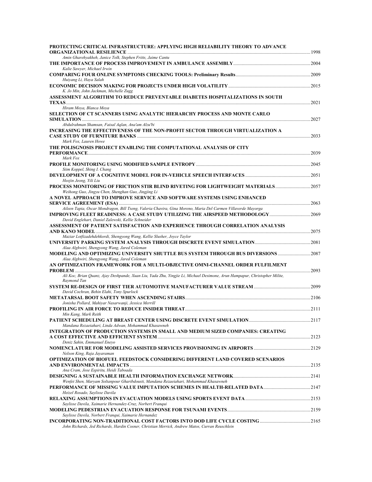| PROTECTING CRITICAL INFRASTRUCTURE: APPLYING HIGH RELIABILITY THEORY TO ADVANCE<br>ORGANIZATIONAL RESILIENCE                                                                                                                                                    |       |
|-----------------------------------------------------------------------------------------------------------------------------------------------------------------------------------------------------------------------------------------------------------------|-------|
| Amin Gharehyakheh, Janice Tolk, Stephen Fritts, Jaime Cantu                                                                                                                                                                                                     |       |
| Kalie Sawyer, Michael Irwin                                                                                                                                                                                                                                     |       |
| Huiyang Li, Haya Salah                                                                                                                                                                                                                                          |       |
| ECONOMIC DECISION MAKING FOR PROJECTS UNDER HIGH VOLATILITY …………………………………………………………………2015<br>K. Jo Min, John Jackman, Michelle Zugg                                                                                                                             |       |
| ASSESSMENT ALGORITHM TO REDUCE PREVENTABLE DIABETES HOSPITALIZATIONS IN SOUTH                                                                                                                                                                                   | .2021 |
| Hiram Moya, Blanca Moya<br>SELECTION OF CT SCANNERS USING ANALYTIC HIERARCHY PROCESS AND MONTE CARLO                                                                                                                                                            | 2027  |
| Abdulrahman Shamsan, Faisal Aglan, Ana'am Alzu'bi<br>INCREASING THE EFFECTIVENESS OF THE NON-PROFIT SECTOR THROUGH VIRTUALIZATION A                                                                                                                             | .2033 |
| Mark Fox, Lauren Howe<br>THE POLISGNOSIS PROJECT ENABLING THE COMPUTATIONAL ANALYSIS OF CITY                                                                                                                                                                    |       |
| Mark Fox                                                                                                                                                                                                                                                        |       |
| Siim Koppel, Shing I. Chang                                                                                                                                                                                                                                     |       |
| Heejin Jeong, Yili Liu<br>PROCESS MONITORING OF FRICTION STIR BLIND RIVETING FOR LIGHTWEIGHT MATERIALS 2057<br>Weihong Guo, Jingyu Chen, Shenghan Guo, Jingjing Li                                                                                              |       |
| A NOVEL APPROACH TO IMPROVE SERVICE AND SOFTWARE SYSTEMS USING ENHANCED                                                                                                                                                                                         | .2063 |
| Aileen Tapia, Oscar Mondragon, Bill Tseng, Valeria Chavira, Gina Moreno, Maria Del Carmen Villaverde Mayorga<br>IMPROVING FLEET READINESS: A CASE STUDY UTILIZING THE AIRSPEED METHODOLOGY……………………………2069<br>David Englehart, Daniel Zalewski, Kellie Schneider |       |
| ASSESSMENT OF PATIENT SATISFACTION AND EXPERIENCE THROUGH CORRELATION ANALYSIS                                                                                                                                                                                  |       |
| Maziar Lotfizadehdehkordi, Shengyong Wang, Kellie Slusher, Joyce Taylor                                                                                                                                                                                         |       |
| Alaa Alghwiri, Shengyong Wang, Jared Coleman                                                                                                                                                                                                                    |       |
| Alaa Alghwiri, Shengyong Wang, Jared Coleman<br>AN OPTIMIZATION FRAMEWORK FOR A MULTI-OBJECTIVE OMNI-CHANNEL ORDER FULFILMENT                                                                                                                                   | .2093 |
| <b>PROBLEM</b><br>Ali Koc, Brian Quanz, Ajay Deshpande, Xuan Liu, Yada Zhu, Yingjie Li, Michael Desimone, Arun Hampapur, Christopher Milite,<br>Raymond Tan                                                                                                     |       |
| David Cochran, Behin Elahi, Tony Spurlock                                                                                                                                                                                                                       |       |
| Jonisha Pollard, Mahiyar Nasarwanji, Jessica Merrill                                                                                                                                                                                                            |       |
| Min Kang, Mark Reith                                                                                                                                                                                                                                            |       |
| Mandana Rezaeiahari, Linda Adwan, Mohammad Khasawneh                                                                                                                                                                                                            |       |
| INTEGRATION OF PRODUCTION SYSTEMS IN SMALL AND MEDIUM SIZED COMPANIES: CREATING<br>Deniz Sahin, Emmanuel Enevo                                                                                                                                                  |       |
| Nelson King, Raja Jayaraman                                                                                                                                                                                                                                     |       |
| OPTIMIZATION OF BIOFUEL FEEDSTOCK CONSIDERING DIFFERENT LAND COVERED SCENARIOS<br>Ana Cram, Jose Espiritu, Heidi Taboada                                                                                                                                        |       |
| Wenfei Shen, Maryam Soltanpour Gharibdousti, Mandana Rezaeiahari, Mohammad Khasawneh                                                                                                                                                                            |       |
| Heizel Rosado, Saylisse Davila                                                                                                                                                                                                                                  |       |
| Saylisse Davila, Xaimarie Hernandez-Cruz, Norbert Franqui                                                                                                                                                                                                       |       |
| Saylisse Davila, Norbert Franqui, Xaimarie Hernandez                                                                                                                                                                                                            |       |
| John Richards, Jed Richards, Hardin Cosner, Christian Merrick, Andrew Matos, Curran Reuschlein                                                                                                                                                                  |       |